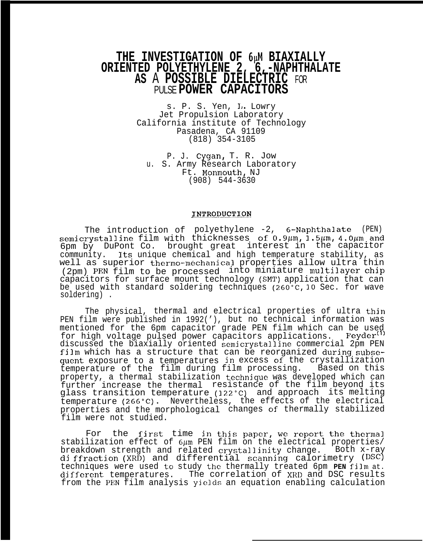# THE INVESTIGATION OF  $6\mu$ M BIAXIALLY **ORIENTED POLYETHYLENE 2, 6,-NAPHTHALATE AS** A **POSSIBLE DIELECTRIC** FOR PULSE **POWER CAPACITORS**

s. P. S. Yen, L. Lowry Jet Propulsion Laboratory California institute of Technology Pasadena, CA 91109 (818) 354-3105

P. J. Cygan, T. R. Jow u. S. Army Research Laboratory Ft. Monmouth, NJ (908) 544-3630

## INTRODUCTION

The introduction of semicrystalline film with polyethylene -2, 6-Naphthalate (PEN) thicknesses of  $0.9 \mu m$ ,  $1.5 \mu m$ ,  $4.0 \mu m$  and 6pm by DuPont Co. brought great interest in the capacitor<br>community. Its unique chemical and high temperature stability, as Its unique chemical and high temperature stability, as well as superior thermo-mechanical properties allow ultra thin (2pm) PEN film to be processed into miniature multilayer chjp capacitors for surface mount technology (SMT) application that can be used with standard soldering techniques (260"C, 10 Sec. for wave soldering) .

The physical, thermal and electrical properties of ultra thjn PEN film were published in 1992('), but no technical information was mentioned for the 6pm capacitor grade PEN film which can be used for high voltage pulsed power capacitors applications. Fevder<sup>(1)</sup> for high voltage pulsed power capacitors applications. discussed the biaxially oriented semicrystalline commercial 2pm PEN film which has a structure that can be reorganized during subsequent exposure to a temperatures jn excess of the crystallization temperature of the film during film processing. Based on this property, a thermal stabilization technjquc was developed which can further increase the thermal resistance of the film beyond its glass transition temperature (222"C) and approach its melting temperature (266"C). Nevertheless, the effects of the electrical properties and the morphological changes of thermally stabilized film were not studied.

For the first time in this paper, we report the thermal stabilization effect of  $6\mu$ m PEN film on the electrical properties/ breakdown strength and related crystallinity change. <sup>Both</sup> x-ray diffraction (XRD) and differential scanning calorimetry (DSC) techniques were used to study the thermally treated 6pm **PEN** film at. djfferent temperatures. The correlation of XRD and DSC results from the PEN film analysis yields an equation enabling calculation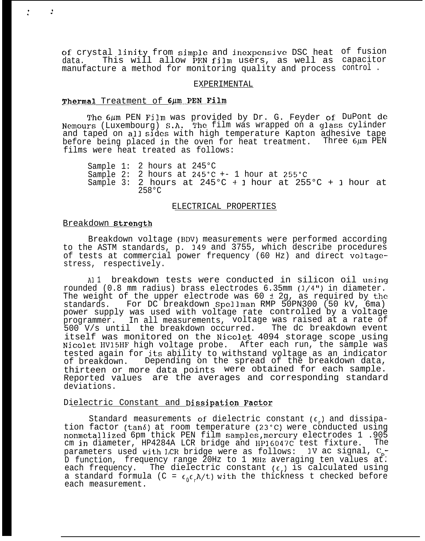of crystal linity from simple and inexpensive DSC heat of fusion data. This will allow PEN film users, as well as capacitor manufacture a method for monitoring quality and process control .

### EXPERIMENTAL

#### Thermal Treatment of 6µm PEN Film

The 6um PEN Film was provided by Dr. G. Feyder of DuPont de Nemours (Luxembourg) S.A. l'he film was wrapped on a glass cylinder and taped on all sides with high temperature Kapton adhesive tape before being placed in the oven for heat treatment. Three  $6\mu$ m PEN films were heat treated as follows:

Sample 1: 2 hours at 245°C Sample 2: 2 hours at  $245^{\circ}$ C +- 1 hour at  $255^{\circ}$ C Sample 3: 2 hours at  $245^{\circ}C + 1$  hour at  $255^{\circ}C + 1$  hour at 258°C

#### ELECTRICAL PROPERTIES

#### Breakdown Strength

 $\cdot$  . .

> Breakdown voltage (BDV) measurements were performed according to the ASTM standards, p. 349 and 3755, which describe procedures of tests at commercial power frequency (60 Hz) and direct voltagestress, respectively.

> Al 1 breakdown tests were conducted in silicon oil using rounded  $(0.8 \text{ mm radius})$  brass electrodes  $6.35 \text{ mm } (1/4")$  in diameter. The weight of the upper electrode was  $60 \pm 2g$ , as required by the standards. For DC breakdown Spellman RMP 50PN300 (50 kV, 6ma) power supply was used with voltage rate controlled by a voltage programmer. In all measurements, voltage was raised at a rate of 500 V/s until the breakdown occurred. The dc breakdown event itself was monitored on the Nicolet 4094 storage scope using Nicolet HV15HF high voltage probe. After each run, the sample was tested again for its ability to withstand voltage as an indicator<br>of breakdown. Depending on the spread of the breakdown data, Depending on the spread of the breakdown data, thirteen or more data points were obtained for each sample. Reported values are the averages and corresponding standard deviations.

## Dielectric Constant and Dissipation Factor

Standard measurements of dielectric constant  $(\epsilon)$  and dissipation factor (tan $\delta$ ) at room temperature (23°C) were conducted using nonmetallized 6pm thick PEN film samples, mercury electrodes 1 .905<br>cm in diameter. HP4284A LCR bridge and HP16047C test fixture. The cm in diameter, HP4284A LCR bridge and HP16047C test fixture. parameters used with ICR bridge were as follows: IV ac signal,  $C_{p}$ -D function, frequency range 20Hz to 1 MHz averaging ten values at. each frequency. The dielectric constant  $(\epsilon_{r})$  is calculated using a standard formula (C =  $\epsilon_0 \epsilon R/t$ ) with the thickness t checked before each measurement.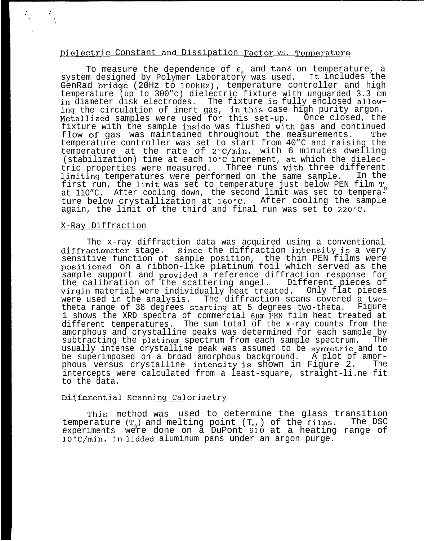## Dielectric Constant and Dissipation Factor vs. Temperature

To measure the dependence of  $\epsilon_{\text{p}}$  and tand on temperature, a system designed by Polymer Laboratory was used. It includes the GenRad brjdge (20Hz to 100kHz), temperature controller and high temperature (up to 300"c) dielectric fixture with unguarded 3.3 cm in diameter disk electrodes. The fixture is fully enclosed allowing the circulation of inert gas, in this case high purity argon. Metallized samples were used for this set-up. Once closed, the fixture with the sample inside was flushed with gas and continued<br>flow of gas, was maintained throughout the measurements. The flow of gas was maintained throughout the measurements. temperature controller was set to start from 40"C and raising the temperature at the rate of 2°C/min. with 6 minutes dwelling (stabilization) time at each 10°C increment, at which the dielectric properties were measured. Three runs with three different<br>limiting temperatures were performed on the same sample. In the limiting temperatures were performed on the same sample. first run, the limit was set to temperature just below PEN film T<sub>g</sub> at 110"C. After cooling down, the second limit was set to temperature below crystallization at 160"C. After cooling the sample again, the limit of the third and final run was set to 220"C.

## X-Ray Diffraction

The x-ray diffraction data was acquired using a conventional diffractometer stage. Since the diffraction intensity is a very sensitive function of sample position, the thin PEN films were positioned on a ribbon-like platinum foil which served as the sample support and provided a reference diffraction response for<br>the calibration of the scattering angel. Different pieces of the calibration of the scattering angel. virgin material were individually heat treated. Only flat pieces<br>were used in the analysis. The diffraction scans covered a two-The diffraction scans covered a twotheta range of 38 degrees startjng at 5 degrees two-theta. Figure 1 shows the XRD spectra of commercial  $6\mu$ m PEN film heat treated at different temperatures. The sum total of the x-ray counts from the amorphous and crystalline peaks was determined for each sample by subtracting the platinum spectrum from each sample spectrum. usually intense crystalline peak was assumed to be symmetrjc and to be superimposed on a broad amorphous background. A plot of amorphous versus crystalline intensity is shown in Figure 2. The intercepts were calculated from a least-square, straight-li.ne fit to the data.

## Differential Scanning Calorimetry

This method was used to determine the glass transition<br>Prature (T) and melting point (T) of the films. The DSC temperature  $(T_q)$  and melting point  $(T_n)$ , of the films. experiments were done on a DuPont 910 at a heating range of 30°C/min. jn lidded aluminum pans under an argon purge.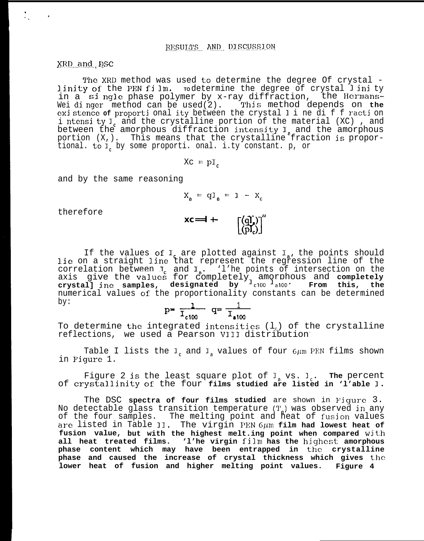XRD and DSC

The XRD method was used to determine the degree Of crystal linity of the PEN film. rodetermine the degree of crystal linity in a single phase polymer by x-ray diffraction, the Hermans-<br>Weidinger method can be used(2). This method depends on the existence of proportional ity between the crystal line diffraction i ntensi ty  $I_c$  and the crystalline portion of the material (XC), and between the amorphous diffraction intensity  $I_a$  and the amorphous portion  $(X, )$ . This means that the crystalline fraction is proportional. to I, by some proporti. onal. i.ty constant. p, or

$$
X_C = pI_c
$$

and by the same reasoning

$$
X_{a} = qI_{a} = 1 - X_{c}
$$

therefore

$$
XC = I + - \qquad \qquad \qquad \left[\begin{array}{c} (qI_x) \\ (pI_z) \end{array}\right]^n
$$

If the values of  $I_c$  are plotted against  $I_a$ , the points should<br>lie on a straight line that represent the regression line of the correlation between I and I. The points of intersection on the<br>axis give the values for completely amorphous and completely<br>crystall ine samples, designated by  $1_{c100}$  and From this, the numerical values of the proportionality constants can be determined  $by:$ 

$$
p = \frac{1}{T_{c100}} \quad q = \frac{1}{T_{c100}}
$$

To determine the integrated intensities  $(1_c)$  of the crystalline reflections, we used a Pearson VIII distribution

Table I lists the  $I_c$  and  $I_a$  values of four  $6\mu$ m PEN films shown in Figure 1.

Figure 2 is the least square plot of  $I_a$  vs.  $I_c$ . The percent of crystallinity of the four films studied are listed in 'l'able I.

The DSC spectra of four films studied are shown in Figure 3. No detectable glass transition temperature (T) was observed in any<br>of the four samples. The melting point and heat of fusion values are listed in Table II. The virgin PEN  $6\mu$ m film had lowest heat of fusion value, but with the highest melt.ing point when compared with all heat treated films. 'l'he virgin film has the highest amorphous phase content which may have been entrapped in the crystalline phase and caused the increase of crystal thickness which gives the lower heat of fusion and higher melting point values. Figure 4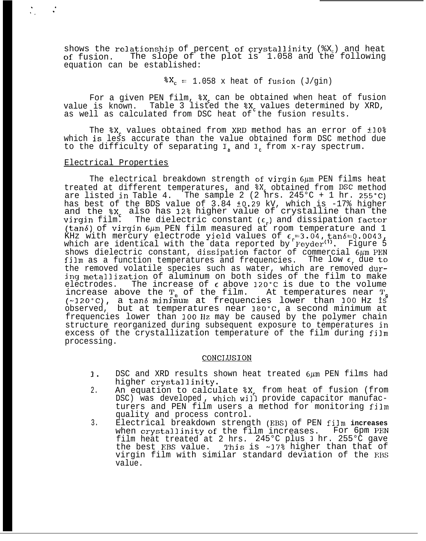shows the relationship of percent of crystallinity ( $X_c$ ) and heat of fusion. The slope of the plot is 1.058 and the following equation can be established:

 $X_c = 1.058$  x heat of fusion (J/gin)

For a given PEN film,  $X_c$  can be obtained when heat of fusion value is known. Table 3 listed the %X, values determined by XRD, as well as calculated from DSC heat of the fusion results.

The  $x_c$  values obtained from XRD method has an error of  $\pm 10\$ which is less accurate than the value obtained form DSC method due to the difficulty of separating  $I<sub>a</sub>$  and  $I<sub>c</sub>$  from x-ray spectrum.

#### Electrical Properties

The electrical breakdown strength of virgin  $6\mu$ m PEN films heat treated at different temperatures, and  $X<sub>c</sub>$  obtained from DSC method are listed in Table 4. The sample 2 (2 hrs. 245 $^{\circ}$ C + 1 hr. 255 $^{\circ}$ C) has best of the BDS value of 3.84 fO.29 kV, which is -17% higher and the  $x_c$  also has 12% higher value of crystalline than the virgin film. The dielectric constant  $(\epsilon_{\rm r})$  and dissipation factor (tan $\delta$ ) of virgin 6 $\mu$ m PEN film measured at room temperature and 1 KHz with mercury electrode yield values of  $\epsilon = 3.04$ , tan $\delta = 0.0043$ , which are identical with the data reported by Feyder<sup>(1)</sup>. Figure 5 shows dielectric constant, dissipation factor of commercial  $6\mu$ m PEN film as a function temperatures and frequencies. The low  $\epsilon$ , due to the removed volatile species such as water, which are removed during metallization of aluminum on both sides of the film to make electrodes. The increase of  $\epsilon$  above 120°C is due to the volume increase above the  $T_{0}$  of the film. At temperatures near  $T_{0}$  $(-120 °C)$ , a tan6 minimum at frequencies lower than 100 Hz is observed, but at temperatures near 180°C, a second minimum at frequencies lower than 100 llz may be caused by the polymer chain structure reorganized during subsequent exposure to temperatures in excess of the crystallization temperature of the film during film processing.

## **CONCLUSION**

- 1. DSC and XRD results shown heat treated 6µm PEN films had higher crystallinity.
- 2. An equation to calculate %X, from heat of fusion (from DSC) was developed, which will provide capacitor manufacturers and PEN film users a method for monitoring film quality and process control.
- 3. Electrical breakdown strength (EBS) of PEN **film increases** when crystallinity of the film increases. For 6pm PEN film heat treated at 2 hrs. 245°C plus 1 hr. 255°C gave the best EBS value. This is ~17% higher than that of virgin film with similar standard deviation of the EBS value.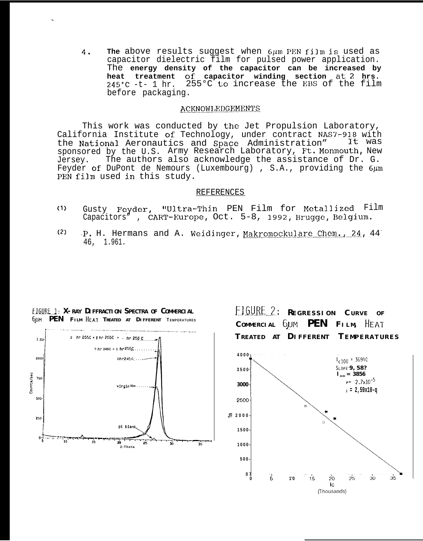The above results suggest when 6um PEN film is used as  $4.$ capacitor dielectric film for pulsed power application. The energy density of the capacitor can be increased by heat treatment of capacitor winding section at 2 hrs. 255°C to increase the EBS of the film  $245^{\circ}$ C -t- 1 hr. before packaging.

## **ACKNOWLEDGEMENTS**

This work was conducted by the Jet Propulsion Laboratory, California Institute of Technology, under contract NAS7-918 with It was the National Aeronautics and Space Administration" sponsored by the U.S. Army Research Laboratory, Ft. Monmouth, New The authors also acknowledge the assistance of Dr. G. Jersey. Feyder of DuPont de Nemours (Luxembourg), S.A., providing the  $6\mu$ m PEN film used in this study.

#### REFERENCES

- Gusty Feyder, "Ultra-Thin PEN Film for Metallized Film  $(1)$ Capacitors", CART-Europe, Oct. 5-8, 1992, Brugge, Belgium.
- $(2)$ P. H. Hermans and A. Weidinger, Makromockulare Chem., 24, 44 46, 1.961.



EIGURE 1: X-RAY DIFFRACTION SPECTRA OF COMMERCIAL **SUM PEN FILM HEAT TREATED AT DIFFERENT TEMPERATURES** 

FIGURE 2: REGRESSION CURVE OF COMMERCIAL GUM PEN FILM, HEAT TREATED AT DIFFERENT TEMPERATURES  $4000<sub>7</sub>$  $I_{c100}$  = 36940 SLOPE-9, 58? 3500  $I_{A100} = 3856$  $P = 2.7 \times 10^{-5}$ 3000  $0 = 2,59x10-q$ 2500  $\mathbf{C}$  2000 1500 1000 500  $0<sub>1</sub>$  $\overline{15}$  $\overline{5}$  $35$  $20^{\circ}$  $25$  $30<sup>°</sup>$  $1'0$  $\overline{c}$ (Thousands)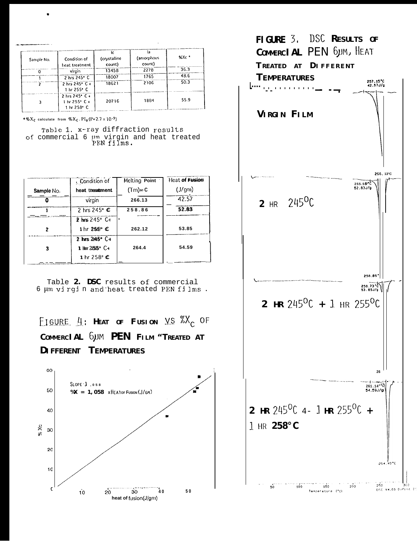| Sample No. | Condition of<br>heat treatment                | łc.<br>(crystalline<br>count) | la<br>(amorphous)<br>count) | $XXC$ $*$ |
|------------|-----------------------------------------------|-------------------------------|-----------------------------|-----------|
|            | virgin                                        | 13458                         | 2278                        | 36.3      |
|            | 2 hrs 245° C                                  | 18007                         | 1765                        | 48.6      |
|            | 2 hrs 245° C +<br>1 hr 255° C                 | 18621                         | 2106                        | 50.3      |
|            | 2 hrs 245° C+<br>1 hr 255° C +<br>1 hr 258° C | 20716                         | 1884                        | 55.9      |

 $96X_C$  calculate from  $\%X_C$ . Pl<sub>a</sub> (P=2.7 x 10.5)

Table 1. x-ray diffraction results of commercial 6 pm virgin and heat treated<br>PEN films.

|            | , Condition of                  | Melting Point         | <b>Heat of Fusion</b> |
|------------|---------------------------------|-----------------------|-----------------------|
| Sample No. | heat treatment                  | $(Tm) \in \mathbb{C}$ | $(J/\text{gm})$       |
|            | virgin                          | 266.13                | 42.57                 |
|            | 2 hrs $245^\circ$ $\textdegree$ | 258.86                | 52.83                 |
|            | 2 hrs 245° C+                   | $\mathbf{u}$          |                       |
| ,          | 1 hr 255° C                     | 262.12                | 53.85                 |
|            | $2$ hrs $245^{\circ}$ C+        |                       |                       |
|            | 1 $\text{Im } 255^{\circ}$ C+   | 264.4                 | 54.59                 |
|            | 1 hr $258^\circ$ C              |                       |                       |

Table 2. DSC results of commercial 6 µm virgin and heat treated PEN films.

FIGURE  $4$ : HEAT OF FUSION VS  $X_c$  OF COMMERCIAL 6UM PEN FILM "TREATED AT DIFFERENT TEMPERATURES